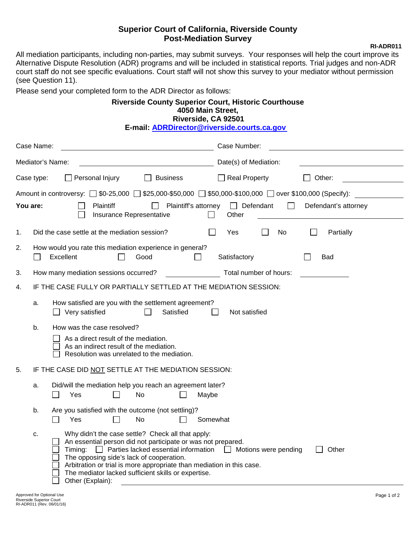## **Superior Court of California, Riverside County Post-Mediation Survey Constraining Post-Mediation Survey**

All mediation participants, including non-parties, may submit surveys. Your responses will help the court improve its Alternative Dispute Resolution (ADR) programs and will be included in statistical reports. Trial judges and non-ADR court staff do not see specific evaluations. Court staff will not show this survey to your mediator without permission (see Question 11).

Please send your completed form to the ADR Director as follows:

## **Riverside County Superior Court, Historic Courthouse 4050 Main Street, Riverside, CA 92501 E-m[ail: ADRDirector@riverside.courts.ca.gov](mailto:ADRDirector@riverside.courts.ca.gov)**

|    | Case Name:                                                       |                                                                                                                                                                                                                                                                                                                                                                                                         | Case Number:                |                      |  |  |  |  |
|----|------------------------------------------------------------------|---------------------------------------------------------------------------------------------------------------------------------------------------------------------------------------------------------------------------------------------------------------------------------------------------------------------------------------------------------------------------------------------------------|-----------------------------|----------------------|--|--|--|--|
|    |                                                                  | Mediator's Name:                                                                                                                                                                                                                                                                                                                                                                                        | Date(s) of Mediation:       |                      |  |  |  |  |
|    | Case type:                                                       | Personal Injury<br><b>Business</b><br>$\perp$                                                                                                                                                                                                                                                                                                                                                           | $\Box$ Real Property        | Other:               |  |  |  |  |
|    | You are:                                                         | Plaintiff's attorney<br><b>Plaintiff</b>                                                                                                                                                                                                                                                                                                                                                                | $\Box$ Defendant<br>$\perp$ | Defendant's attorney |  |  |  |  |
|    |                                                                  | Insurance Representative                                                                                                                                                                                                                                                                                                                                                                                | Other                       |                      |  |  |  |  |
| 1. |                                                                  | Did the case settle at the mediation session?                                                                                                                                                                                                                                                                                                                                                           | Yes<br>No                   | Partially            |  |  |  |  |
| 2. | $\mathsf{L}$                                                     | How would you rate this mediation experience in general?<br>Excellent<br>Good<br>$\perp$                                                                                                                                                                                                                                                                                                                | Satisfactory                | Bad                  |  |  |  |  |
| 3. |                                                                  | How many mediation sessions occurred?                                                                                                                                                                                                                                                                                                                                                                   | Total number of hours:      |                      |  |  |  |  |
| 4. | IF THE CASE FULLY OR PARTIALLY SETTLED AT THE MEDIATION SESSION: |                                                                                                                                                                                                                                                                                                                                                                                                         |                             |                      |  |  |  |  |
|    | a.                                                               | How satisfied are you with the settlement agreement?<br>Satisfied<br>Very satisfied                                                                                                                                                                                                                                                                                                                     | Not satisfied               |                      |  |  |  |  |
|    | b.                                                               | How was the case resolved?<br>As a direct result of the mediation.<br>As an indirect result of the mediation.<br>Resolution was unrelated to the mediation.                                                                                                                                                                                                                                             |                             |                      |  |  |  |  |
| 5. |                                                                  | IF THE CASE DID NOT SETTLE AT THE MEDIATION SESSION:                                                                                                                                                                                                                                                                                                                                                    |                             |                      |  |  |  |  |
|    | a.                                                               | Did/will the mediation help you reach an agreement later?<br><b>No</b><br>Yes<br>Maybe                                                                                                                                                                                                                                                                                                                  |                             |                      |  |  |  |  |
|    | b.                                                               | Are you satisfied with the outcome (not settling)?<br><b>No</b><br>Yes<br>Somewhat                                                                                                                                                                                                                                                                                                                      |                             |                      |  |  |  |  |
|    | c.                                                               | Why didn't the case settle? Check all that apply:<br>An essential person did not participate or was not prepared.<br>Timing:<br>$\Box$ Parties lacked essential information $\Box$ Motions were pending<br>The opposing side's lack of cooperation.<br>Arbitration or trial is more appropriate than mediation in this case.<br>The mediator lacked sufficient skills or expertise.<br>Other (Explain): |                             | Other                |  |  |  |  |